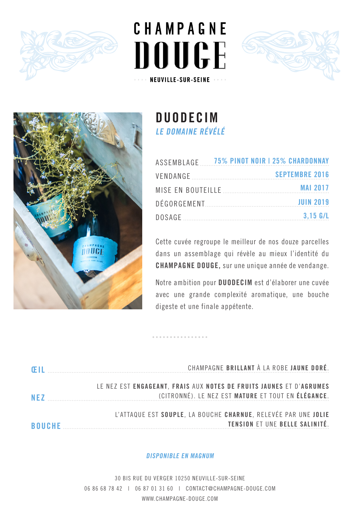







# **DUODECIM LE DOMAINE RÉVÉLÉ**

|  |  | ASSEMBLAGE 75% PINOT NOIR   25% CHARDONNAY |
|--|--|--------------------------------------------|
|  |  | <b>SEPTEMBRE 2016</b>                      |
|  |  |                                            |
|  |  | <b>JUIN 2019</b>                           |
|  |  | $3.15$ G/L                                 |

Cette cuvée regroupe le meilleur de nos douze parcelles dans un assemblage qui révèle au mieux l'identité du **CHAMPAGNE DOUGE,** sur une unique année de vendange.

Notre ambition pour **DUODECIM** est d'élaborer une cuvée avec une grande complexité aromatique, une bouche digeste et une finale appétente.

| - Œ II        | CHAMPAGNE BRILLANT À LA ROBE JAUNE DORÉ.                                                                                  |
|---------------|---------------------------------------------------------------------------------------------------------------------------|
| NF7           | LE NEZ EST ENGAGEANT, FRAIS AUX NOTES DE FRUITS JAUNES ET D'AGRUMES<br>(CITRONNÉ). LE NEZ EST MATURE ET TOUT EN ÉLÉGANCE. |
| <b>BOUCHE</b> | L'ATTAQUE EST SOUPLE, LA BOUCHE CHARNUE, RELEVÉE PAR UNE JOLIE<br>TENSION ET UNE BELLE SALINITÉ.                          |

## **DISPONIBLE EN MAGNUM**

30 BIS RUE DU VERGER 10250 NEUVILLE-SUR-SEINE 06 86 68 78 42 | 06 87 01 31 60 | CONTACT@CHAMPAGNE-DOUGE.COM WWW.CHAMPAGNE-DOUGE.COM